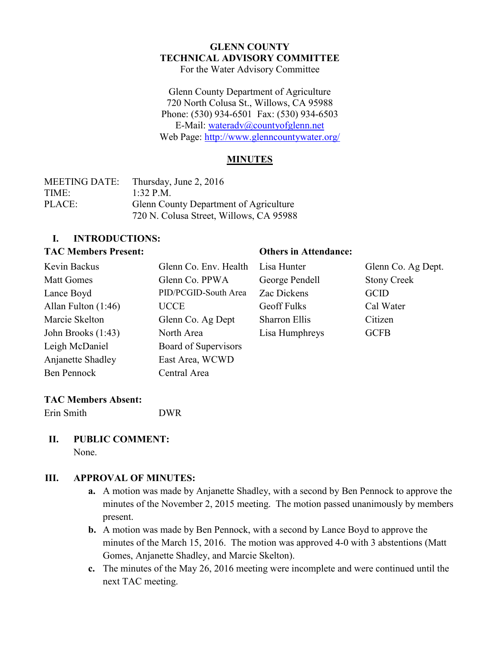#### **GLENN COUNTY TECHNICAL ADVISORY COMMITTEE** For the Water Advisory Committee

Glenn County Department of Agriculture 720 North Colusa St., Willows, CA 95988 Phone: (530) 934-6501 Fax: (530) 934-6503 E-Mail: [wateradv@countyofglenn.net](mailto:wateradv@countyofglenn.net) Web Page:<http://www.glenncountywater.org/>

#### **MINUTES**

| <b>MEETING DATE:</b> | Thursday, June 2, 2016                  |
|----------------------|-----------------------------------------|
| TIME:                | 1:32 P.M.                               |
| PLACE:               | Glenn County Department of Agriculture  |
|                      | 720 N. Colusa Street, Willows, CA 95988 |

#### **I. INTRODUCTIONS:**

#### **TAC Members Present: Others in Attendance:**

| Glenn Co. Env. Health |
|-----------------------|
| Glenn Co. PPWA        |
| PID/PCGID-South Area  |
| <b>UCCE</b>           |
| Glenn Co. Ag Dept     |
| North Area            |
| Board of Supervisors  |
| East Area, WCWD       |
| Central Area          |
|                       |

George Pendell Stony Creek Zac Dickens GCID Geoff Fulks Cal Water Sharron Ellis Citizen Lisa Humphreys GCFB

Lisa Hunter Glenn Co. Ag Dept.

# **TAC Members Absent:**

Erin Smith DWR

#### **II. PUBLIC COMMENT:** None.

# **III. APPROVAL OF MINUTES:**

- **a.** A motion was made by Anjanette Shadley, with a second by Ben Pennock to approve the minutes of the November 2, 2015 meeting. The motion passed unanimously by members present.
- **b.** A motion was made by Ben Pennock, with a second by Lance Boyd to approve the minutes of the March 15, 2016. The motion was approved 4-0 with 3 abstentions (Matt Gomes, Anjanette Shadley, and Marcie Skelton).
- **c.** The minutes of the May 26, 2016 meeting were incomplete and were continued until the next TAC meeting.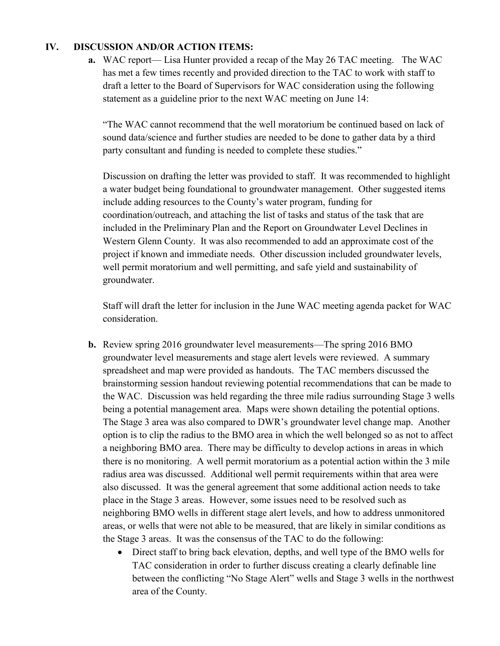#### **IV. DISCUSSION AND/OR ACTION ITEMS:**

**a.** WAC report— Lisa Hunter provided a recap of the May 26 TAC meeting. The WAC has met a few times recently and provided direction to the TAC to work with staff to draft a letter to the Board of Supervisors for WAC consideration using the following statement as a guideline prior to the next WAC meeting on June 14:

"The WAC cannot recommend that the well moratorium be continued based on lack of sound data/science and further studies are needed to be done to gather data by a third party consultant and funding is needed to complete these studies."

Discussion on drafting the letter was provided to staff. It was recommended to highlight a water budget being foundational to groundwater management. Other suggested items include adding resources to the County's water program, funding for coordination/outreach, and attaching the list of tasks and status of the task that are included in the Preliminary Plan and the Report on Groundwater Level Declines in Western Glenn County. It was also recommended to add an approximate cost of the project if known and immediate needs. Other discussion included groundwater levels, well permit moratorium and well permitting, and safe yield and sustainability of groundwater.

Staff will draft the letter for inclusion in the June WAC meeting agenda packet for WAC consideration.

- **b.** Review spring 2016 groundwater level measurements—The spring 2016 BMO groundwater level measurements and stage alert levels were reviewed. A summary spreadsheet and map were provided as handouts. The TAC members discussed the brainstorming session handout reviewing potential recommendations that can be made to the WAC. Discussion was held regarding the three mile radius surrounding Stage 3 wells being a potential management area. Maps were shown detailing the potential options. The Stage 3 area was also compared to DWR's groundwater level change map. Another option is to clip the radius to the BMO area in which the well belonged so as not to affect a neighboring BMO area. There may be difficulty to develop actions in areas in which there is no monitoring. A well permit moratorium as a potential action within the 3 mile radius area was discussed. Additional well permit requirements within that area were also discussed. It was the general agreement that some additional action needs to take place in the Stage 3 areas. However, some issues need to be resolved such as neighboring BMO wells in different stage alert levels, and how to address unmonitored areas, or wells that were not able to be measured, that are likely in similar conditions as the Stage 3 areas. It was the consensus of the TAC to do the following:
	- Direct staff to bring back elevation, depths, and well type of the BMO wells for TAC consideration in order to further discuss creating a clearly definable line between the conflicting "No Stage Alert" wells and Stage 3 wells in the northwest area of the County.